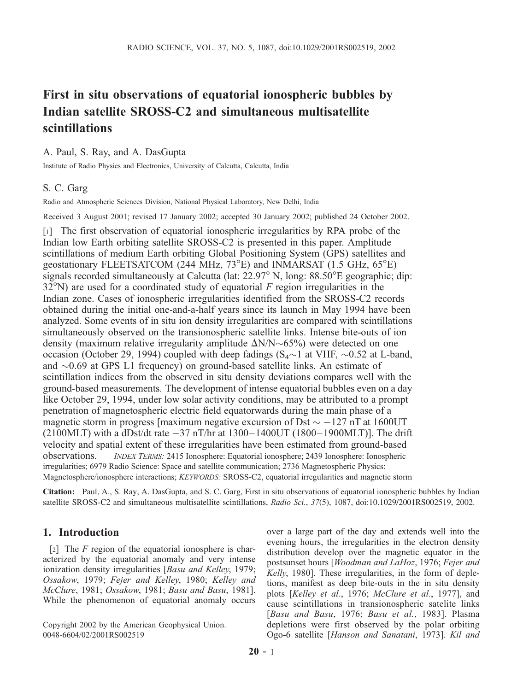# First in situ observations of equatorial ionospheric bubbles by Indian satellite SROSS-C2 and simultaneous multisatellite scintillations

#### A. Paul, S. Ray, and A. DasGupta

Institute of Radio Physics and Electronics, University of Calcutta, Calcutta, India

## S. C. Garg

Radio and Atmospheric Sciences Division, National Physical Laboratory, New Delhi, India

Received 3 August 2001; revised 17 January 2002; accepted 30 January 2002; published 24 October 2002.

[1] The first observation of equatorial ionospheric irregularities by RPA probe of the Indian low Earth orbiting satellite SROSS-C2 is presented in this paper. Amplitude scintillations of medium Earth orbiting Global Positioning System (GPS) satellites and geostationary FLEETSATCOM (244 MHz, 73°E) and INMARSAT (1.5 GHz, 65°E) signals recorded simultaneously at Calcutta (lat: 22.97° N, long: 88.50°E geographic; dip:  $32^{\circ}$ N) are used for a coordinated study of equatorial *F* region irregularities in the Indian zone. Cases of ionospheric irregularities identified from the SROSS-C2 records obtained during the initial one-and-a-half years since its launch in May 1994 have been analyzed. Some events of in situ ion density irregularities are compared with scintillations simultaneously observed on the transionospheric satellite links. Intense bite-outs of ion density (maximum relative irregularity amplitude  $\Delta N/N \sim 65\%$ ) were detected on one occasion (October 29, 1994) coupled with deep fadings  $(S_4 \sim 1$  at VHF,  $\sim 0.52$  at L-band, and  $\sim 0.69$  at GPS L1 frequency) on ground-based satellite links. An estimate of scintillation indices from the observed in situ density deviations compares well with the ground-based measurements. The development of intense equatorial bubbles even on a day like October 29, 1994, under low solar activity conditions, may be attributed to a prompt penetration of magnetospheric electric field equatorwards during the main phase of a magnetic storm in progress [maximum negative excursion of Dst  $\sim -127$  nT at 1600UT (2100MLT) with a dDst/dt rate -37 nT/hr at 1300–1400UT (1800–1900MLT)]. The drift velocity and spatial extent of these irregularities have been estimated from ground-based observations. *INDEX TERMS:* 2415 Ionosphere: Equatorial ionosphere; 2439 Ionosphere: Ionospheric irregularities; 6979 Radio Science: Space and satellite communication; 2736 Magnetospheric Physics: Magnetosphere/ionosphere interactions; *KEYWORDS:* SROSS-C2, equatorial irregularities and magnetic storm

Citation: Paul, A., S. Ray, A. DasGupta, and S. C. Garg, First in situ observations of equatorial ionospheric bubbles by Indian satellite SROSS-C2 and simultaneous multisatellite scintillations, *Radio Sci.*, *37*(5), 1087, doi:10.1029/2001RS002519, 2002.

### 1. Introduction

[2] The *F* region of the equatorial ionosphere is characterized by the equatorial anomaly and very intense ionization density irregularities [*Basu and Kelley*, 1979; *Ossakow*, 1979; *Fejer and Kelley*, 1980; *Kelley and McClure*, 1981; *Ossakow*, 1981; *Basu and Basu*, 1981]. While the phenomenon of equatorial anomaly occurs

Copyright 2002 by the American Geophysical Union. 0048-6604/02/2001RS002519

over a large part of the day and extends well into the evening hours, the irregularities in the electron density distribution develop over the magnetic equator in the postsunset hours [*Woodman and LaHoz*, 1976; *Fejer and Kelly*, 1980]. These irregularities, in the form of depletions, manifest as deep bite-outs in the in situ density plots [*Kelley et al.*, 1976; *McClure et al.*, 1977], and cause scintillations in transionospheric satelite links [*Basu and Basu*, 1976; *Basu et al.*, 1983]. Plasma depletions were first observed by the polar orbiting Ogo-6 satellite [*Hanson and Sanatani*, 1973]. *Kil and*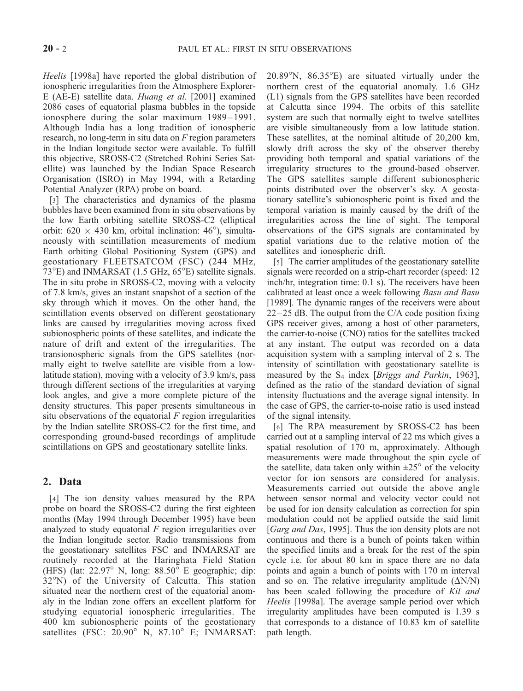*Heelis* [1998a] have reported the global distribution of ionospheric irregularities from the Atmosphere Explorer-E (AE-E) satellite data. *Huang et al.* [2001] examined 2086 cases of equatorial plasma bubbles in the topside ionosphere during the solar maximum 1989–1991. Although India has a long tradition of ionospheric research, no long-term in situ data on *F* region parameters in the Indian longitude sector were available. To fulfill this objective, SROSS-C2 (Stretched Rohini Series Satellite) was launched by the Indian Space Research Organisation (ISRO) in May 1994, with a Retarding Potential Analyzer (RPA) probe on board.

[3] The characteristics and dynamics of the plasma bubbles have been examined from in situ observations by the low Earth orbiting satellite SROSS-C2 (elliptical orbit:  $620 \times 430$  km, orbital inclination:  $46^{\circ}$ ), simultaneously with scintillation measurements of medium Earth orbiting Global Positioning System (GPS) and geostationary FLEETSATCOM (FSC) (244 MHz,  $73^{\circ}$ E) and INMARSAT (1.5 GHz,  $65^{\circ}$ E) satellite signals. The in situ probe in SROSS-C2, moving with a velocity of 7.8 km/s, gives an instant snapshot of a section of the sky through which it moves. On the other hand, the scintillation events observed on different geostationary links are caused by irregularities moving across fixed subionospheric points of these satellites, and indicate the nature of drift and extent of the irregularities. The transionospheric signals from the GPS satellites (normally eight to twelve satellite are visible from a lowlatitude station), moving with a velocity of 3.9 km/s, pass through different sections of the irregularities at varying look angles, and give a more complete picture of the density structures. This paper presents simultaneous in situ observations of the equatorial *F* region irregularities by the Indian satellite SROSS-C2 for the first time, and corresponding ground-based recordings of amplitude scintillations on GPS and geostationary satellite links.

## 2. Data

[4] The ion density values measured by the RPA probe on board the SROSS-C2 during the first eighteen months (May 1994 through December 1995) have been analyzed to study equatorial *F* region irregularities over the Indian longitude sector. Radio transmissions from the geostationary satellites FSC and INMARSAT are routinely recorded at the Haringhata Field Station (HFS) (lat:  $22.97^{\circ}$  N, long:  $88.50^{\circ}$  E geographic; dip: 32°N) of the University of Calcutta. This station situated near the northern crest of the equatorial anomaly in the Indian zone offers an excellent platform for studying equatorial ionospheric irregularities. The 400 km subionospheric points of the geostationary satellites (FSC:  $20.90^{\circ}$  N,  $87.10^{\circ}$  E; INMARSAT:  $20.89^{\circ}$ N,  $86.35^{\circ}$ E) are situated virtually under the northern crest of the equatorial anomaly. 1.6 GHz (L1) signals from the GPS satellites have been recorded at Calcutta since 1994. The orbits of this satellite system are such that normally eight to twelve satellites are visible simultaneously from a low latitude station. These satellites, at the nominal altitude of 20,200 km, slowly drift across the sky of the observer thereby providing both temporal and spatial variations of the irregularity structures to the ground-based observer. The GPS satellites sample different subionospheric points distributed over the observer's sky. A geostationary satellite's subionospheric point is fixed and the temporal variation is mainly caused by the drift of the irregularities across the line of sight. The temporal observations of the GPS signals are contaminated by spatial variations due to the relative motion of the satellites and ionospheric drift.

[5] The carrier amplitudes of the geostationary satellite signals were recorded on a strip-chart recorder (speed: 12) inch/hr, integration time: 0.1 s). The receivers have been calibrated at least once a week following *Basu and Basu* [1989]. The dynamic ranges of the receivers were about  $22-25$  dB. The output from the C/A code position fixing GPS receiver gives, among a host of other parameters, the carrier-to-noise (CNO) ratios for the satellites tracked at any instant. The output was recorded on a data acquisition system with a sampling interval of 2 s. The intensity of scintillation with geostationary satellite is measured by the S<sup>4</sup> index [*Briggs and Parkin*, 1963], defined as the ratio of the standard deviation of signal intensity fluctuations and the average signal intensity. In the case of GPS, the carrier-to-noise ratio is used instead of the signal intensity.

[6] The RPA measurement by SROSS-C2 has been carried out at a sampling interval of 22 ms which gives a spatial resolution of 170 m, approximately. Although measurements were made throughout the spin cycle of the satellite, data taken only within  $\pm 25^{\circ}$  of the velocity vector for ion sensors are considered for analysis. Measurements carried out outside the above angle between sensor normal and velocity vector could not be used for ion density calculation as correction for spin modulation could not be applied outside the said limit [*Garg and Das*, 1995]. Thus the ion density plots are not continuous and there is a bunch of points taken within the specified limits and a break for the rest of the spin cycle i.e. for about 80 km in space there are no data points and again a bunch of points with 170 m interval and so on. The relative irregularity amplitude  $(\Delta N/N)$ has been scaled following the procedure of *Kil and Heelis* [1998a]. The average sample period over which irregularity amplitudes have been computed is 1.39 s that corresponds to a distance of 10.83 km of satellite path length.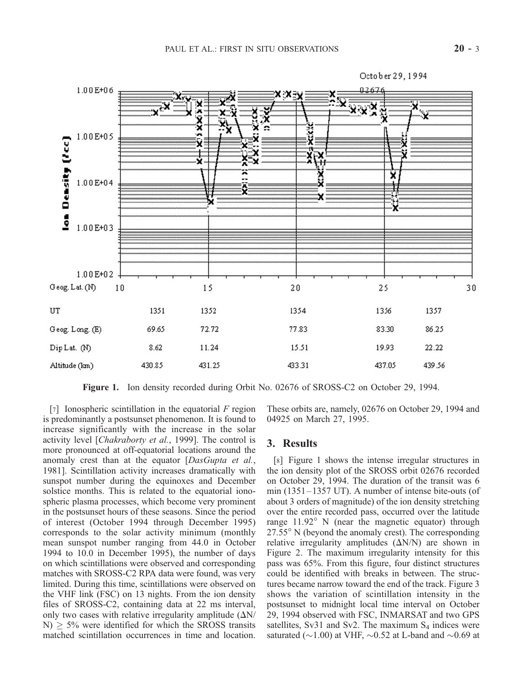

Figure 1. Ion density recorded during Orbit No. 02676 of SROSS-C2 on October 29, 1994.

[7] Ionospheric scintillation in the equatorial *F* region is predominantly a postsunset phenomenon. It is found to increase significantly with the increase in the solar activity level [*Chakraborty et al.*, 1999]. The control is more pronounced at off-equatorial locations around the anomaly crest than at the equator [*DasGupta et al.*, 1981]. Scintillation activity increases dramatically with sunspot number during the equinoxes and December solstice months. This is related to the equatorial ionospheric plasma processes, which become very prominent in the postsunset hours of these seasons. Since the period of interest (October 1994 through December 1995) corresponds to the solar activity minimum (monthly mean sunspot number ranging from 44.0 in October 1994 to 10.0 in December 1995), the number of days on which scintillations were observed and corresponding matches with SROSS-C2 RPA data were found, was very limited. During this time, scintillations were observed on the VHF link (FSC) on 13 nights. From the ion density files of SROSS-C2, containing data at 22 ms interval, only two cases with relative irregularity amplitude  $(\Delta N/$  $N$ )  $\geq$  5% were identified for which the SROSS transits matched scintillation occurrences in time and location.

These orbits are, namely, 02676 on October 29, 1994 and 04925 on March 27, 1995.

#### 3. Results

[8] Figure 1 shows the intense irregular structures in the ion density plot of the SROSS orbit 02676 recorded on October 29, 1994. The duration of the transit was 6 min (1351 –1357 UT). A number of intense bite-outs (of about 3 orders of magnitude) of the ion density stretching over the entire recorded pass, occurred over the latitude range  $11.92^{\circ}$  N (near the magnetic equator) through  $27.55^{\circ}$  N (beyond the anomaly crest). The corresponding relative irregularity amplitudes  $(\Delta N/N)$  are shown in Figure 2. The maximum irregularity intensity for this pass was 65%. From this figure, four distinct structures could be identified with breaks in between. The structures became narrow toward the end of the track. Figure 3 shows the variation of scintillation intensity in the postsunset to midnight local time interval on October 29, 1994 observed with FSC, INMARSAT and two GPS satellites, Sv31 and Sv2. The maximum  $S_4$  indices were saturated ( $\sim$ 1.00) at VHF,  $\sim$ 0.52 at L-band and  $\sim$ 0.69 at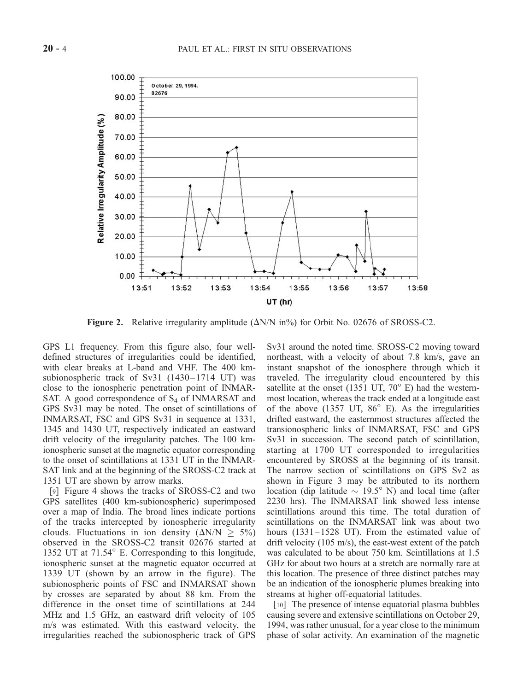

**Figure 2.** Relative irregularity amplitude  $(\Delta N/N \text{ in} \%)$  for Orbit No. 02676 of SROSS-C2.

GPS L1 frequency. From this figure also, four welldefined structures of irregularities could be identified, with clear breaks at L-band and VHF. The 400 kmsubionospheric track of Sv31  $(1430-1714 \text{ UT})$  was close to the ionospheric penetration point of INMAR-SAT. A good correspondence of  $S_4$  of INMARSAT and GPS Sv31 may be noted. The onset of scintillations of INMARSAT, FSC and GPS Sv31 in sequence at 1331, 1345 and 1430 UT, respectively indicated an eastward drift velocity of the irregularity patches. The 100 kmionospheric sunset at the magnetic equator corresponding to the onset of scintillations at 1331 UT in the INMAR-SAT link and at the beginning of the SROSS-C2 track at 1351 UT are shown by arrow marks.

[9] Figure 4 shows the tracks of SROSS-C2 and two GPS satellites (400 km-subionospheric) superimposed over a map of India. The broad lines indicate portions of the tracks intercepted by ionospheric irregularity clouds. Fluctuations in ion density  $(\Delta N/N \ge 5\%)$ observed in the SROSS-C2 transit 02676 started at 1352 UT at  $71.54^\circ$  E. Corresponding to this longitude, ionospheric sunset at the magnetic equator occurred at 1339 UT (shown by an arrow in the figure). The subionospheric points of FSC and INMARSAT shown by crosses are separated by about 88 km. From the difference in the onset time of scintillations at 244 MHz and 1.5 GHz, an eastward drift velocity of 105 m/s was estimated. With this eastward velocity, the irregularities reached the subionospheric track of GPS Sv31 around the noted time. SROSS-C2 moving toward northeast, with a velocity of about 7.8 km/s, gave an instant snapshot of the ionosphere through which it traveled. The irregularity cloud encountered by this satellite at the onset (1351 UT,  $70^{\circ}$  E) had the westernmost location, whereas the track ended at a longitude east of the above (1357 UT,  $86^\circ$  E). As the irregularities drifted eastward, the easternmost structures affected the transionospheric links of INMARSAT, FSC and GPS Sv31 in succession. The second patch of scintillation, starting at 1700 UT corresponded to irregularities encountered by SROSS at the beginning of its transit. The narrow section of scintillations on GPS Sv2 as shown in Figure 3 may be attributed to its northern location (dip latitude  $\sim$  19.5° N) and local time (after 2230 hrs). The INMARSAT link showed less intense scintillations around this time. The total duration of scintillations on the INMARSAT link was about two hours (1331–1528 UT). From the estimated value of drift velocity (105 m/s), the east-west extent of the patch was calculated to be about 750 km. Scintillations at 1.5 GHz for about two hours at a stretch are normally rare at this location. The presence of three distinct patches may be an indication of the ionospheric plumes breaking into streams at higher off-equatorial latitudes.

[10] The presence of intense equatorial plasma bubbles causing severe and extensive scintillations on October 29, 1994, was rather unusual, for a year close to the minimum phase of solar activity. An examination of the magnetic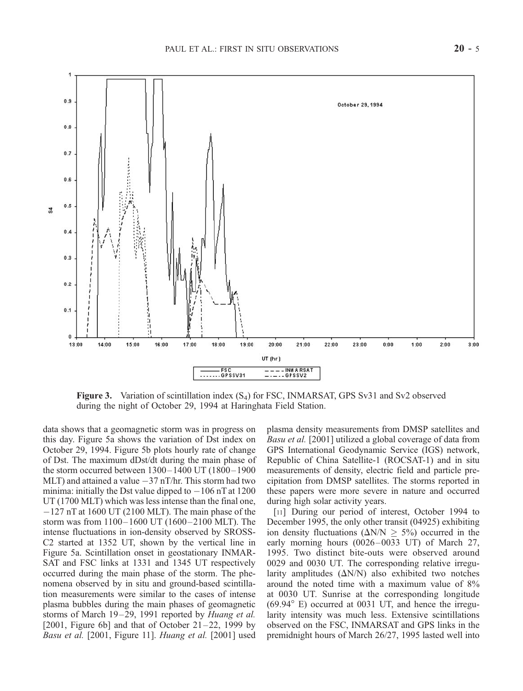

Figure 3. Variation of scintillation index  $(S_4)$  for FSC, INMARSAT, GPS Sv31 and Sv2 observed during the night of October 29, 1994 at Haringhata Field Station.

data shows that a geomagnetic storm was in progress on this day. Figure 5a shows the variation of Dst index on October 29, 1994. Figure 5b plots hourly rate of change of Dst. The maximum dDst/dt during the main phase of the storm occurred between  $1300 - 1400$  UT  $(1800 - 1900)$ MLT) and attained a value  $-37$  nT/hr. This storm had two minima: initially the Dst value dipped to  $-106$  nT at 1200 UT (1700 MLT) which was less intense than the final one, -127 nT at 1600 UT (2100 MLT). The main phase of the storm was from  $1100 - 1600$  UT (1600 – 2100 MLT). The intense fluctuations in ion-density observed by SROSS-C2 started at 1352 UT, shown by the vertical line in Figure 5a. Scintillation onset in geostationary INMAR-SAT and FSC links at 1331 and 1345 UT respectively occurred during the main phase of the storm. The phenomena observed by in situ and ground-based scintillation measurements were similar to the cases of intense plasma bubbles during the main phases of geomagnetic storms of March 19–29, 1991 reported by *Huang et al.* [2001, Figure 6b] and that of October  $21-22$ , 1999 by *Basu et al.* [2001, Figure 11]. *Huang et al.* [2001] used

plasma density measurements from DMSP satellites and *Basu et al.* [2001] utilized a global coverage of data from GPS International Geodynamic Service (IGS) network, Republic of China Satellite-1 (ROCSAT-1) and in situ measurements of density, electric field and particle precipitation from DMSP satellites. The storms reported in these papers were more severe in nature and occurred during high solar activity years.

[11] During our period of interest, October 1994 to December 1995, the only other transit (04925) exhibiting ion density fluctuations ( $\Delta N/N \geq 5\%$ ) occurred in the early morning hours (0026-0033 UT) of March 27, 1995. Two distinct bite-outs were observed around 0029 and 0030 UT. The corresponding relative irregularity amplitudes  $(\Delta N/N)$  also exhibited two notches around the noted time with a maximum value of 8% at 0030 UT. Sunrise at the corresponding longitude  $(69.94^{\circ}$  E) occurred at 0031 UT, and hence the irregularity intensity was much less. Extensive scintillations observed on the FSC, INMARSAT and GPS links in the premidnight hours of March 26/27, 1995 lasted well into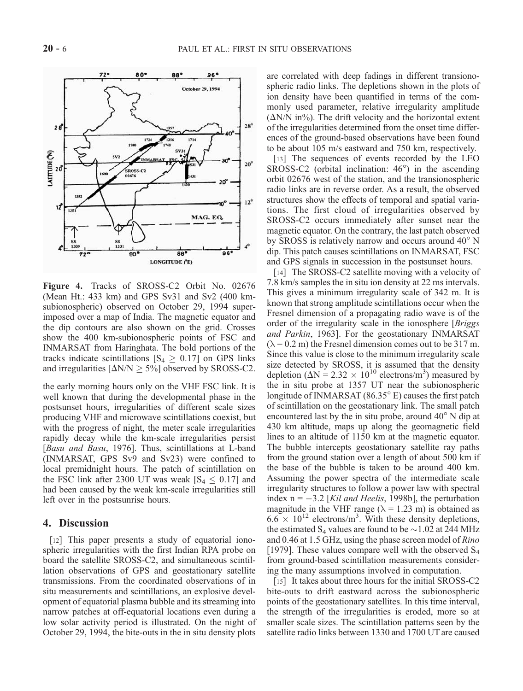

Figure 4. Tracks of SROSS-C2 Orbit No. 02676 (Mean Ht.: 433 km) and GPS Sv31 and Sv2 (400 kmsubionospheric) observed on October 29, 1994 superimposed over a map of India. The magnetic equator and the dip contours are also shown on the grid. Crosses show the 400 km-subionospheric points of FSC and INMARSAT from Haringhata. The bold portions of the tracks indicate scintillations  $[S_4 \geq 0.17]$  on GPS links and irregularities  $[\Delta N/N \ge 5\%]$  observed by SROSS-C2.

the early morning hours only on the VHF FSC link. It is well known that during the developmental phase in the postsunset hours, irregularities of different scale sizes producing VHF and microwave scintillations coexist, but with the progress of night, the meter scale irregularities rapidly decay while the km-scale irregularities persist [*Basu and Basu*, 1976]. Thus, scintillations at L-band (INMARSAT, GPS Sv9 and Sv23) were confined to local premidnight hours. The patch of scintillation on the FSC link after 2300 UT was weak  $[S_4 \leq 0.17]$  and had been caused by the weak km-scale irregularities still left over in the postsunrise hours.

## 4. Discussion

[12] This paper presents a study of equatorial ionospheric irregularities with the first Indian RPA probe on board the satellite SROSS-C2, and simultaneous scintillation observations of GPS and geostationary satellite transmissions. From the coordinated observations of in situ measurements and scintillations, an explosive development of equatorial plasma bubble and its streaming into narrow patches at off-equatorial locations even during a low solar activity period is illustrated. On the night of October 29, 1994, the bite-outs in the in situ density plots are correlated with deep fadings in different transionospheric radio links. The depletions shown in the plots of ion density have been quantified in terms of the commonly used parameter, relative irregularity amplitude  $(\Delta N/N \text{ in} \%)$ . The drift velocity and the horizontal extent of the irregularities determined from the onset time differences of the ground-based observations have been found to be about 105 m/s eastward and 750 km, respectively.

[13] The sequences of events recorded by the LEO SROSS-C2 (orbital inclination:  $46^{\circ}$ ) in the ascending orbit 02676 west of the station, and the transionospheric radio links are in reverse order. As a result, the observed structures show the effects of temporal and spatial variations. The first cloud of irregularities observed by SROSS-C2 occurs immediately after sunset near the magnetic equator. On the contrary, the last patch observed by SROSS is relatively narrow and occurs around  $40^{\circ}$  N dip. This patch causes scintillations on INMARSAT, FSC and GPS signals in succession in the postsunset hours.

[14] The SROSS-C2 satellite moving with a velocity of 7.8 km/s samples the in situ ion density at 22 ms intervals. This gives a minimum irregularity scale of 342 m. It is known that strong amplitude scintillations occur when the Fresnel dimension of a propagating radio wave is of the order of the irregularity scale in the ionosphere [*Briggs and Parkin*, 1963]. For the geostationary INMARSAT  $(\lambda = 0.2 \text{ m})$  the Fresnel dimension comes out to be 317 m. Since this value is close to the minimum irregularity scale size detected by SROSS, it is assumed that the density depletion ( $\Delta N = 2.32 \times 10^{10}$  electrons/m<sup>3</sup>) measured by the in situ probe at 1357 UT near the subionospheric longitude of INMARSAT  $(86.35^{\circ}$  E) causes the first patch of scintillation on the geostationary link. The small patch encountered last by the in situ probe, around  $40^{\circ}$  N dip at 430 km altitude, maps up along the geomagnetic field lines to an altitude of 1150 km at the magnetic equator. The bubble intercepts geostationary satellite ray paths from the ground station over a length of about 500 km if the base of the bubble is taken to be around 400 km. Assuming the power spectra of the intermediate scale irregularity structures to follow a power law with spectral index n = -3.2 [*Kil and Heelis*, 1998b], the perturbation magnitude in the VHF range ( $\lambda = 1.23$  m) is obtained as  $6.6 \times 10^{12}$  electrons/m<sup>3</sup>. With these density depletions, the estimated  $S_4$  values are found to be  $\sim$  1.02 at 244 MHz and 0.46 at 1.5 GHz, using the phase screen model of *Rino* [1979]. These values compare well with the observed  $S_4$ from ground-based scintillation measurements considering the many assumptions involved in computation.

[15] It takes about three hours for the initial SROSS-C2 bite-outs to drift eastward across the subionospheric points of the geostationary satellites. In this time interval, the strength of the irregularities is eroded, more so at smaller scale sizes. The scintillation patterns seen by the satellite radio links between 1330 and 1700 UT are caused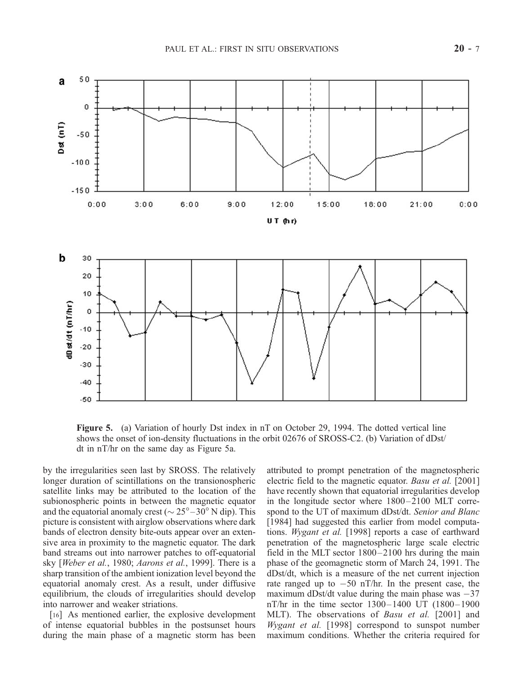

Figure 5. (a) Variation of hourly Dst index in nT on October 29, 1994. The dotted vertical line shows the onset of ion-density fluctuations in the orbit 02676 of SROSS-C2. (b) Variation of dDst/ dt in nT/hr on the same day as Figure 5a.

by the irregularities seen last by SROSS. The relatively longer duration of scintillations on the transionospheric satellite links may be attributed to the location of the subionospheric points in between the magnetic equator and the equatorial anomaly crest ( $\sim$  25 $^{\circ}$  – 30 $^{\circ}$  N dip). This picture is consistent with airglow observations where dark bands of electron density bite-outs appear over an extensive area in proximity to the magnetic equator. The dark band streams out into narrower patches to off-equatorial sky [*Weber et al.*, 1980; *Aarons et al.*, 1999]. There is a sharp transition of the ambient ionization level beyond the equatorial anomaly crest. As a result, under diffusive equilibrium, the clouds of irregularities should develop into narrower and weaker striations.

[16] As mentioned earlier, the explosive development of intense equatorial bubbles in the postsunset hours during the main phase of a magnetic storm has been attributed to prompt penetration of the magnetospheric electric field to the magnetic equator. *Basu et al.* [2001] have recently shown that equatorial irregularities develop in the longitude sector where  $1800-2100$  MLT correspond to the UT of maximum dDst/dt. *Senior and Blanc* [1984] had suggested this earlier from model computations. *Wygant et al.* [1998] reports a case of earthward penetration of the magnetospheric large scale electric field in the MLT sector 1800–2100 hrs during the main phase of the geomagnetic storm of March 24, 1991. The dDst/dt, which is a measure of the net current injection rate ranged up to  $-50$  nT/hr. In the present case, the maximum dDst/dt value during the main phase was  $-37$ nT/hr in the time sector  $1300 - 1400$  UT  $(1800 - 1900)$ MLT). The observations of *Basu et al.* [2001] and *Wygant et al.* [1998] correspond to sunspot number maximum conditions. Whether the criteria required for